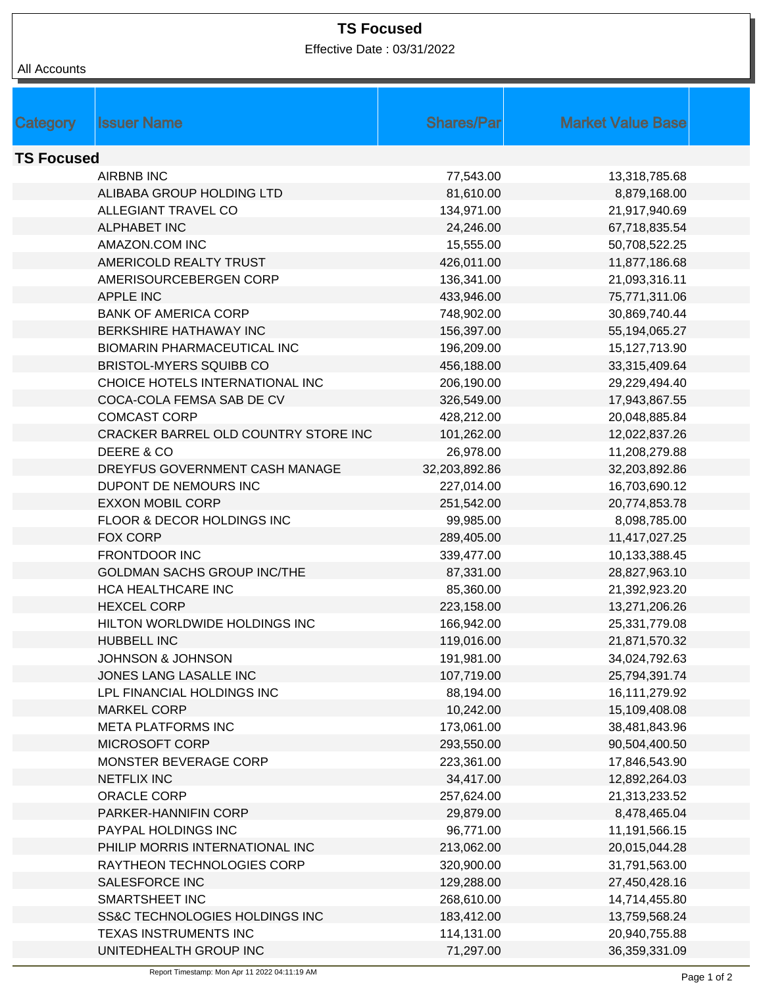## **TS Focused**

Effective Date : 03/31/2022

| All Accounts      |                                      |                    |                          |
|-------------------|--------------------------------------|--------------------|--------------------------|
|                   |                                      |                    |                          |
| Category          | <b>Issuer Name</b>                   | <b>Shares/Parl</b> | <b>Market Value Base</b> |
|                   |                                      |                    |                          |
| <b>TS Focused</b> |                                      |                    |                          |
|                   | <b>AIRBNB INC</b>                    | 77,543.00          | 13,318,785.68            |
|                   | ALIBABA GROUP HOLDING LTD            | 81,610.00          | 8,879,168.00             |
|                   | ALLEGIANT TRAVEL CO                  | 134,971.00         | 21,917,940.69            |
|                   | <b>ALPHABET INC</b>                  | 24,246.00          | 67,718,835.54            |
|                   | AMAZON.COM INC                       | 15,555.00          | 50,708,522.25            |
|                   | AMERICOLD REALTY TRUST               | 426,011.00         | 11,877,186.68            |
|                   | AMERISOURCEBERGEN CORP               | 136,341.00         | 21,093,316.11            |
|                   | <b>APPLE INC</b>                     | 433,946.00         | 75,771,311.06            |
|                   | <b>BANK OF AMERICA CORP</b>          | 748,902.00         | 30,869,740.44            |
|                   | BERKSHIRE HATHAWAY INC               | 156,397.00         | 55,194,065.27            |
|                   | <b>BIOMARIN PHARMACEUTICAL INC</b>   | 196,209.00         | 15,127,713.90            |
|                   | <b>BRISTOL-MYERS SQUIBB CO</b>       | 456,188.00         | 33,315,409.64            |
|                   | CHOICE HOTELS INTERNATIONAL INC      | 206,190.00         | 29,229,494.40            |
|                   | COCA-COLA FEMSA SAB DE CV            | 326,549.00         | 17,943,867.55            |
|                   | <b>COMCAST CORP</b>                  | 428,212.00         | 20,048,885.84            |
|                   | CRACKER BARREL OLD COUNTRY STORE INC | 101,262.00         | 12,022,837.26            |
|                   | DEERE & CO                           | 26,978.00          | 11,208,279.88            |
|                   | DREYFUS GOVERNMENT CASH MANAGE       | 32,203,892.86      | 32,203,892.86            |
|                   | DUPONT DE NEMOURS INC                | 227,014.00         | 16,703,690.12            |
|                   | <b>EXXON MOBIL CORP</b>              | 251,542.00         | 20,774,853.78            |
|                   | FLOOR & DECOR HOLDINGS INC           | 99,985.00          | 8,098,785.00             |
|                   | <b>FOX CORP</b>                      | 289,405.00         | 11,417,027.25            |
|                   | <b>FRONTDOOR INC</b>                 | 339,477.00         | 10,133,388.45            |
|                   | <b>GOLDMAN SACHS GROUP INC/THE</b>   | 87,331.00          | 28,827,963.10            |
|                   | HCA HEALTHCARE INC                   | 85,360.00          | 21,392,923.20            |
|                   | <b>HEXCEL CORP</b>                   | 223,158.00         | 13,271,206.26            |
|                   | HILTON WORLDWIDE HOLDINGS INC        | 166,942.00         | 25,331,779.08            |
|                   | <b>HUBBELL INC</b>                   | 119,016.00         | 21,871,570.32            |
|                   | <b>JOHNSON &amp; JOHNSON</b>         | 191,981.00         | 34,024,792.63            |
|                   | JONES LANG LASALLE INC               | 107,719.00         | 25,794,391.74            |
|                   | LPL FINANCIAL HOLDINGS INC           | 88,194.00          | 16,111,279.92            |
|                   | <b>MARKEL CORP</b>                   | 10,242.00          | 15,109,408.08            |
|                   | <b>META PLATFORMS INC</b>            | 173,061.00         | 38,481,843.96            |
|                   | MICROSOFT CORP                       | 293,550.00         | 90,504,400.50            |
|                   | MONSTER BEVERAGE CORP                | 223,361.00         | 17,846,543.90            |
|                   | <b>NETFLIX INC</b>                   | 34,417.00          | 12,892,264.03            |
|                   | ORACLE CORP                          | 257,624.00         | 21,313,233.52            |
|                   | PARKER-HANNIFIN CORP                 | 29,879.00          | 8,478,465.04             |
|                   | PAYPAL HOLDINGS INC                  | 96,771.00          | 11,191,566.15            |
|                   | PHILIP MORRIS INTERNATIONAL INC      | 213,062.00         | 20,015,044.28            |
|                   | RAYTHEON TECHNOLOGIES CORP           | 320,900.00         | 31,791,563.00            |
|                   | <b>SALESFORCE INC</b>                | 129,288.00         | 27,450,428.16            |
|                   | SMARTSHEET INC                       | 268,610.00         | 14,714,455.80            |
|                   | SS&C TECHNOLOGIES HOLDINGS INC       | 183,412.00         | 13,759,568.24            |
|                   | TEXAS INSTRUMENTS INC                | 114,131.00         | 20,940,755.88            |
|                   | UNITEDHEALTH GROUP INC               | 71,297.00          | 36,359,331.09            |
|                   |                                      |                    |                          |